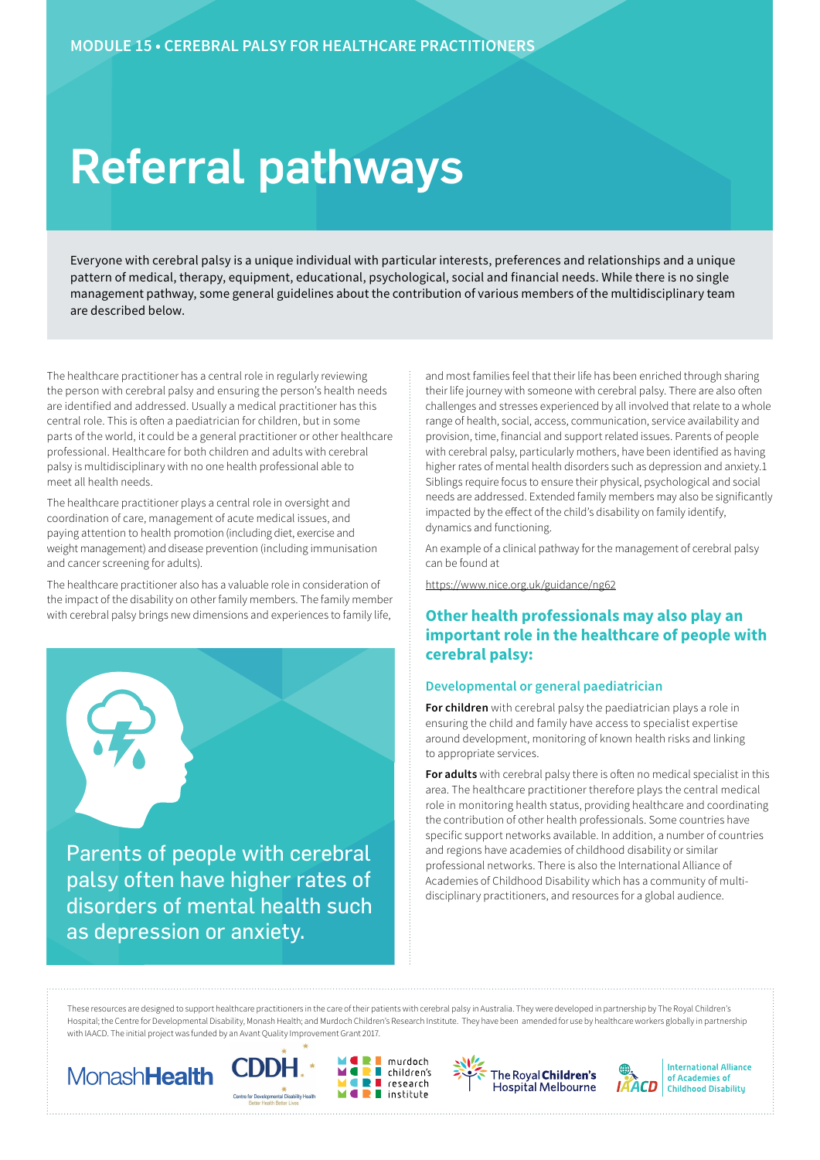# Referral pathways

Everyone with cerebral palsy is a unique individual with particular interests, preferences and relationships and a unique pattern of medical, therapy, equipment, educational, psychological, social and financial needs. While there is no single management pathway, some general guidelines about the contribution of various members of the multidisciplinary team are described below.

The healthcare practitioner has a central role in regularly reviewing the person with cerebral palsy and ensuring the person's health needs are identified and addressed. Usually a medical practitioner has this central role. This is often a paediatrician for children, but in some parts of the world, it could be a general practitioner or other healthcare professional. Healthcare for both children and adults with cerebral palsy is multidisciplinary with no one health professional able to meet all health needs.

The healthcare practitioner plays a central role in oversight and coordination of care, management of acute medical issues, and paying attention to health promotion (including diet, exercise and weight management) and disease prevention (including immunisation and cancer screening for adults).

The healthcare practitioner also has a valuable role in consideration of the impact of the disability on other family members. The family member with cerebral palsy brings new dimensions and experiences to family life,



palsy often have higher rates of disorders of mental health such as depression or anxiety.

and most families feel that their life has been enriched through sharing their life journey with someone with cerebral palsy. There are also often challenges and stresses experienced by all involved that relate to a whole range of health, social, access, communication, service availability and provision, time, financial and support related issues. Parents of people with cerebral palsy, particularly mothers, have been identified as having higher rates of mental health disorders such as depression and anxiety.1 Siblings require focus to ensure their physical, psychological and social needs are addressed. Extended family members may also be significantly impacted by the effect of the child's disability on family identify, dynamics and functioning.

An example of a clinical pathway for the management of cerebral palsy can be found at

<https://www.nice.org.uk/guidance/ng62>

# **Other health professionals may also play an important role in the healthcare of people with cerebral palsy:**

# **Developmental or general paediatrician**

**For children** with cerebral palsy the paediatrician plays a role in ensuring the child and family have access to specialist expertise around development, monitoring of known health risks and linking to appropriate services.

**For adults** with cerebral palsy there is often no medical specialist in this area. The healthcare practitioner therefore plays the central medical role in monitoring health status, providing healthcare and coordinating the contribution of other health professionals. Some countries have specific support networks available. In addition, a number of countries and regions have academies of childhood disability or similar professional networks. There is also the International Alliance of Academies of Childhood Disability which has a community of multidisciplinary practitioners, and resources for a global audience.

These resources are designed to support healthcare practitioners in the care of their patients with cerebral palsy in Australia. They were developed in partnership by The Royal Children's Hospital; the Centre for Developmental Disability, Monash Health; and Murdoch Children's Research Institute. They have been amended for use by healthcare workers globally in partnership with IAACD. The initial project was funded by an Avant Quality Improvement Grant 2017.

п

 $\blacksquare$ 









**International Alliance** of Academies of **Childhood Disability**